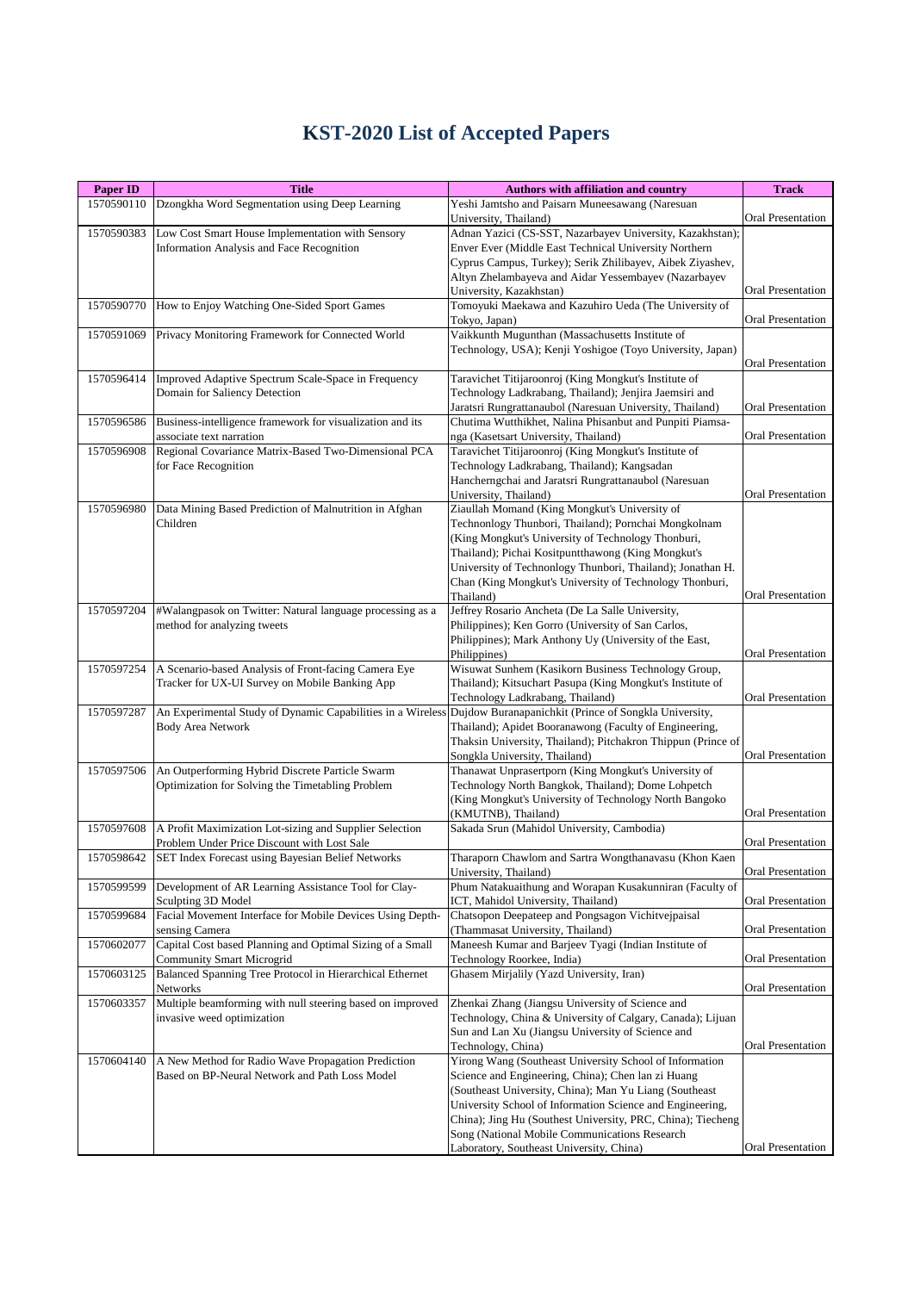## **KST-2020 List of Accepted Papers**

| <b>Paper ID</b> | <b>Title</b>                                                                                        | <b>Authors with affiliation and country</b>                                                                              | <b>Track</b>             |
|-----------------|-----------------------------------------------------------------------------------------------------|--------------------------------------------------------------------------------------------------------------------------|--------------------------|
| 1570590110      | Dzongkha Word Segmentation using Deep Learning                                                      | Yeshi Jamtsho and Paisarn Muneesawang (Naresuan<br>University, Thailand)                                                 | Oral Presentation        |
| 1570590383      | Low Cost Smart House Implementation with Sensory                                                    | Adnan Yazici (CS-SST, Nazarbayev University, Kazakhstan);                                                                |                          |
|                 | Information Analysis and Face Recognition                                                           | Enver Ever (Middle East Technical University Northern                                                                    |                          |
|                 |                                                                                                     | Cyprus Campus, Turkey); Serik Zhilibayev, Aibek Ziyashev,<br>Altyn Zhelambayeva and Aidar Yessembayev (Nazarbayev        |                          |
|                 |                                                                                                     | University, Kazakhstan)                                                                                                  | Oral Presentation        |
| 1570590770      | How to Enjoy Watching One-Sided Sport Games                                                         | Tomoyuki Maekawa and Kazuhiro Ueda (The University of                                                                    |                          |
|                 |                                                                                                     | Tokyo, Japan)                                                                                                            | Oral Presentation        |
| 1570591069      | Privacy Monitoring Framework for Connected World                                                    | Vaikkunth Mugunthan (Massachusetts Institute of                                                                          |                          |
|                 |                                                                                                     | Technology, USA); Kenji Yoshigoe (Toyo University, Japan)                                                                | Oral Presentation        |
| 1570596414      | Improved Adaptive Spectrum Scale-Space in Frequency                                                 | Taravichet Titijaroonroj (King Mongkut's Institute of                                                                    |                          |
|                 | Domain for Saliency Detection                                                                       | Technology Ladkrabang, Thailand); Jenjira Jaemsiri and                                                                   |                          |
|                 |                                                                                                     | Jaratsri Rungrattanaubol (Naresuan University, Thailand)                                                                 | Oral Presentation        |
| 1570596586      | Business-intelligence framework for visualization and its                                           | Chutima Wutthikhet, Nalina Phisanbut and Punpiti Piamsa-                                                                 |                          |
| 1570596908      | associate text narration<br>Regional Covariance Matrix-Based Two-Dimensional PCA                    | nga (Kasetsart University, Thailand)<br>Taravichet Titijaroonroj (King Mongkut's Institute of                            | Oral Presentation        |
|                 | for Face Recognition                                                                                | Technology Ladkrabang, Thailand); Kangsadan                                                                              |                          |
|                 |                                                                                                     | Hancherngchai and Jaratsri Rungrattanaubol (Naresuan                                                                     |                          |
|                 |                                                                                                     | University, Thailand)                                                                                                    | Oral Presentation        |
| 1570596980      | Data Mining Based Prediction of Malnutrition in Afghan<br>Children                                  | Ziaullah Momand (King Mongkut's University of                                                                            |                          |
|                 |                                                                                                     | Technonlogy Thunbori, Thailand); Pornchai Mongkolnam<br>(King Mongkut's University of Technology Thonburi,               |                          |
|                 |                                                                                                     | Thailand); Pichai Kositpuntthawong (King Mongkut's                                                                       |                          |
|                 |                                                                                                     | University of Technonlogy Thunbori, Thailand); Jonathan H.                                                               |                          |
|                 |                                                                                                     | Chan (King Mongkut's University of Technology Thonburi,                                                                  |                          |
|                 |                                                                                                     | Thailand)                                                                                                                | Oral Presentation        |
| 1570597204      | #Walangpasok on Twitter: Natural language processing as a<br>method for analyzing tweets            | Jeffrey Rosario Ancheta (De La Salle University,<br>Philippines); Ken Gorro (University of San Carlos,                   |                          |
|                 |                                                                                                     | Philippines); Mark Anthony Uy (University of the East,                                                                   |                          |
|                 |                                                                                                     | Philippines)                                                                                                             | Oral Presentation        |
| 1570597254      | A Scenario-based Analysis of Front-facing Camera Eye                                                | Wisuwat Sunhem (Kasikorn Business Technology Group,                                                                      |                          |
|                 | Tracker for UX-UI Survey on Mobile Banking App                                                      | Thailand); Kitsuchart Pasupa (King Mongkut's Institute of                                                                | Oral Presentation        |
| 1570597287      | An Experimental Study of Dynamic Capabilities in a Wireless                                         | Technology Ladkrabang, Thailand)<br>Dujdow Buranapanichkit (Prince of Songkla University,                                |                          |
|                 | <b>Body Area Network</b>                                                                            | Thailand); Apidet Booranawong (Faculty of Engineering,                                                                   |                          |
|                 |                                                                                                     | Thaksin University, Thailand); Pitchakron Thippun (Prince of                                                             |                          |
|                 |                                                                                                     | Songkla University, Thailand)                                                                                            | Oral Presentation        |
| 1570597506      | An Outperforming Hybrid Discrete Particle Swarm<br>Optimization for Solving the Timetabling Problem | Thanawat Unprasertporn (King Mongkut's University of<br>Technology North Bangkok, Thailand); Dome Lohpetch               |                          |
|                 |                                                                                                     | (King Mongkut's University of Technology North Bangoko                                                                   |                          |
|                 |                                                                                                     | (KMUTNB), Thailand)                                                                                                      | Oral Presentation        |
| 1570597608      | A Profit Maximization Lot-sizing and Supplier Selection                                             | Sakada Srun (Mahidol University, Cambodia)                                                                               |                          |
|                 | Problem Under Price Discount with Lost Sale                                                         |                                                                                                                          | Oral Presentation        |
| 1570598642      | SET Index Forecast using Bayesian Belief Networks                                                   | Tharaporn Chawlom and Sartra Wongthanavasu (Khon Kaen<br>University, Thailand)                                           | Oral Presentation        |
| 1570599599      | Development of AR Learning Assistance Tool for Clay-                                                | Phum Natakuaithung and Worapan Kusakunniran (Faculty of                                                                  |                          |
|                 | Sculpting 3D Model                                                                                  | ICT, Mahidol University, Thailand)                                                                                       | Oral Presentation        |
| 1570599684      | Facial Movement Interface for Mobile Devices Using Depth-                                           | Chatsopon Deepateep and Pongsagon Vichitvejpaisal                                                                        |                          |
| 1570602077      | sensing Camera<br>Capital Cost based Planning and Optimal Sizing of a Small                         | (Thammasat University, Thailand)<br>Maneesh Kumar and Barjeev Tyagi (Indian Institute of                                 | Oral Presentation        |
|                 | <b>Community Smart Microgrid</b>                                                                    | Technology Roorkee, India)                                                                                               | Oral Presentation        |
| 1570603125      | Balanced Spanning Tree Protocol in Hierarchical Ethernet                                            | Ghasem Mirjalily (Yazd University, Iran)                                                                                 |                          |
|                 | Networks                                                                                            |                                                                                                                          | Oral Presentation        |
| 1570603357      | Multiple beamforming with null steering based on improved                                           | Zhenkai Zhang (Jiangsu University of Science and                                                                         |                          |
|                 | invasive weed optimization                                                                          | Technology, China & University of Calgary, Canada); Lijuan<br>Sun and Lan Xu (Jiangsu University of Science and          |                          |
|                 |                                                                                                     | Technology, China)                                                                                                       | Oral Presentation        |
| 1570604140      | A New Method for Radio Wave Propagation Prediction                                                  | Yirong Wang (Southeast University School of Information                                                                  |                          |
|                 | Based on BP-Neural Network and Path Loss Model                                                      | Science and Engineering, China); Chen lan zi Huang                                                                       |                          |
|                 |                                                                                                     | (Southeast University, China); Man Yu Liang (Southeast                                                                   |                          |
|                 |                                                                                                     | University School of Information Science and Engineering,<br>China); Jing Hu (Southest University, PRC, China); Tiecheng |                          |
|                 |                                                                                                     | Song (National Mobile Communications Research                                                                            |                          |
|                 |                                                                                                     | Laboratory, Southeast University, China)                                                                                 | <b>Oral Presentation</b> |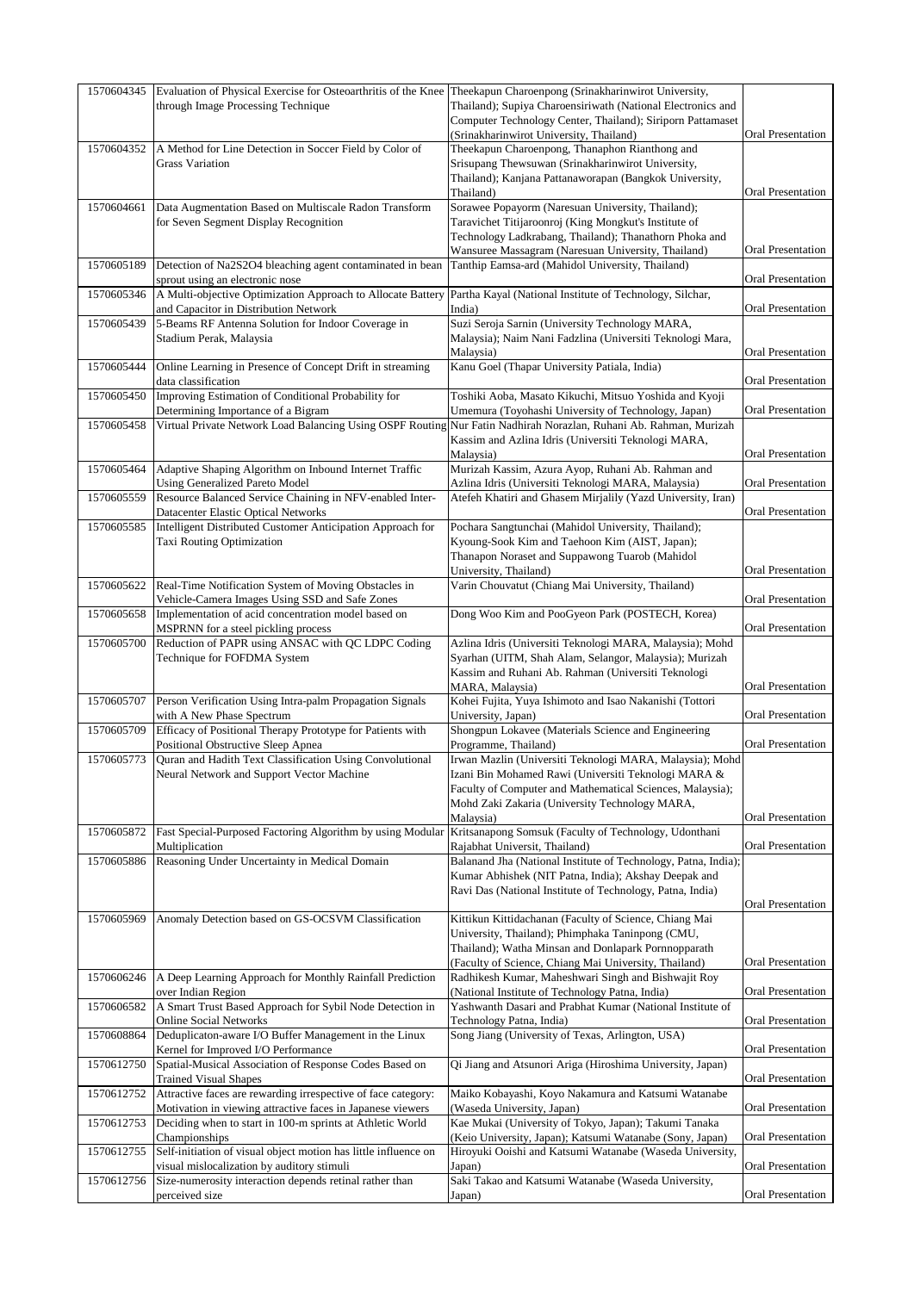| 1570604345 | Evaluation of Physical Exercise for Osteoarthritis of the Knee<br>through Image Processing Technique                        | Theekapun Charoenpong (Srinakharinwirot University,<br>Thailand); Supiya Charoensiriwath (National Electronics and     |                          |
|------------|-----------------------------------------------------------------------------------------------------------------------------|------------------------------------------------------------------------------------------------------------------------|--------------------------|
|            |                                                                                                                             | Computer Technology Center, Thailand); Siriporn Pattamaset                                                             |                          |
| 1570604352 | A Method for Line Detection in Soccer Field by Color of                                                                     | (Srinakharinwirot University, Thailand)<br>Theekapun Charoenpong, Thanaphon Rianthong and                              | Oral Presentation        |
|            | <b>Grass Variation</b>                                                                                                      | Srisupang Thewsuwan (Srinakharinwirot University,                                                                      |                          |
|            |                                                                                                                             | Thailand); Kanjana Pattanaworapan (Bangkok University,<br>Thailand)                                                    | Oral Presentation        |
| 1570604661 | Data Augmentation Based on Multiscale Radon Transform                                                                       | Sorawee Popayorm (Naresuan University, Thailand);                                                                      |                          |
|            | for Seven Segment Display Recognition                                                                                       | Taravichet Titijaroonroj (King Mongkut's Institute of<br>Technology Ladkrabang, Thailand); Thanathorn Phoka and        |                          |
|            |                                                                                                                             | Wansuree Massagram (Naresuan University, Thailand)                                                                     | Oral Presentation        |
| 1570605189 | Detection of Na2S2O4 bleaching agent contaminated in bean<br>sprout using an electronic nose                                | Tanthip Eamsa-ard (Mahidol University, Thailand)                                                                       | Oral Presentation        |
| 1570605346 | A Multi-objective Optimization Approach to Allocate Battery                                                                 | Partha Kayal (National Institute of Technology, Silchar,<br>India)                                                     | <b>Oral Presentation</b> |
| 1570605439 | and Capacitor in Distribution Network<br>5-Beams RF Antenna Solution for Indoor Coverage in                                 | Suzi Seroja Sarnin (University Technology MARA,                                                                        |                          |
|            | Stadium Perak, Malaysia                                                                                                     | Malaysia); Naim Nani Fadzlina (Universiti Teknologi Mara,<br>Malaysia)                                                 | Oral Presentation        |
| 1570605444 | Online Learning in Presence of Concept Drift in streaming<br>data classification                                            | Kanu Goel (Thapar University Patiala, India)                                                                           | Oral Presentation        |
| 1570605450 | Improving Estimation of Conditional Probability for<br>Determining Importance of a Bigram                                   | Toshiki Aoba, Masato Kikuchi, Mitsuo Yoshida and Kyoji<br>Umemura (Toyohashi University of Technology, Japan)          | <b>Oral Presentation</b> |
| 1570605458 | Virtual Private Network Load Balancing Using OSPF Routing                                                                   | Nur Fatin Nadhirah Norazlan, Ruhani Ab. Rahman, Murizah<br>Kassim and Azlina Idris (Universiti Teknologi MARA,         |                          |
|            |                                                                                                                             | Malaysia)                                                                                                              | <b>Oral Presentation</b> |
| 1570605464 | Adaptive Shaping Algorithm on Inbound Internet Traffic<br><b>Using Generalized Pareto Model</b>                             | Murizah Kassim, Azura Ayop, Ruhani Ab. Rahman and<br>Azlina Idris (Universiti Teknologi MARA, Malaysia)                | Oral Presentation        |
| 1570605559 | Resource Balanced Service Chaining in NFV-enabled Inter-                                                                    | Atefeh Khatiri and Ghasem Mirjalily (Yazd University, Iran)                                                            |                          |
| 1570605585 | <b>Datacenter Elastic Optical Networks</b><br>Intelligent Distributed Customer Anticipation Approach for                    | Pochara Sangtunchai (Mahidol University, Thailand);                                                                    | Oral Presentation        |
|            | Taxi Routing Optimization                                                                                                   | Kyoung-Sook Kim and Taehoon Kim (AIST, Japan);                                                                         |                          |
|            |                                                                                                                             | Thanapon Noraset and Suppawong Tuarob (Mahidol<br>University, Thailand)                                                | Oral Presentation        |
| 1570605622 | Real-Time Notification System of Moving Obstacles in                                                                        | Varin Chouvatut (Chiang Mai University, Thailand)                                                                      |                          |
| 1570605658 | Vehicle-Camera Images Using SSD and Safe Zones<br>Implementation of acid concentration model based on                       | Dong Woo Kim and PooGyeon Park (POSTECH, Korea)                                                                        | Oral Presentation        |
| 1570605700 | MSPRNN for a steel pickling process<br>Reduction of PAPR using ANSAC with QC LDPC Coding                                    | Azlina Idris (Universiti Teknologi MARA, Malaysia); Mohd                                                               | Oral Presentation        |
|            | Technique for FOFDMA System                                                                                                 | Syarhan (UITM, Shah Alam, Selangor, Malaysia); Murizah                                                                 |                          |
|            |                                                                                                                             | Kassim and Ruhani Ab. Rahman (Universiti Teknologi<br>MARA, Malaysia)                                                  | Oral Presentation        |
| 1570605707 | Person Verification Using Intra-palm Propagation Signals<br>with A New Phase Spectrum                                       | Kohei Fujita, Yuya Ishimoto and Isao Nakanishi (Tottori<br>University, Japan)                                          | Oral Presentation        |
| 1570605709 | Efficacy of Positional Therapy Prototype for Patients with<br>Positional Obstructive Sleep Apnea                            | Shongpun Lokavee (Materials Science and Engineering<br>Programme, Thailand)                                            | <b>Oral Presentation</b> |
| 1570605773 | Quran and Hadith Text Classification Using Convolutional                                                                    | Irwan Mazlin (Universiti Teknologi MARA, Malaysia); Mohd                                                               |                          |
|            | Neural Network and Support Vector Machine                                                                                   | Izani Bin Mohamed Rawi (Universiti Teknologi MARA &<br>Faculty of Computer and Mathematical Sciences, Malaysia);       |                          |
|            |                                                                                                                             | Mohd Zaki Zakaria (University Technology MARA,                                                                         |                          |
| 1570605872 | Fast Special-Purposed Factoring Algorithm by using Modular                                                                  | Malaysia)<br>Kritsanapong Somsuk (Faculty of Technology, Udonthani                                                     | <b>Oral Presentation</b> |
|            | Multiplication                                                                                                              | Rajabhat Universit, Thailand)                                                                                          | Oral Presentation        |
| 1570605886 | Reasoning Under Uncertainty in Medical Domain                                                                               | Balanand Jha (National Institute of Technology, Patna, India);<br>Kumar Abhishek (NIT Patna, India); Akshay Deepak and |                          |
|            |                                                                                                                             | Ravi Das (National Institute of Technology, Patna, India)                                                              |                          |
| 1570605969 | Anomaly Detection based on GS-OCSVM Classification                                                                          | Kittikun Kittidachanan (Faculty of Science, Chiang Mai                                                                 | Oral Presentation        |
|            |                                                                                                                             | University, Thailand); Phimphaka Taninpong (CMU,                                                                       |                          |
|            |                                                                                                                             | Thailand); Watha Minsan and Donlapark Pornnopparath<br>(Faculty of Science, Chiang Mai University, Thailand)           | Oral Presentation        |
| 1570606246 | A Deep Learning Approach for Monthly Rainfall Prediction<br>over Indian Region                                              | Radhikesh Kumar, Maheshwari Singh and Bishwajit Roy<br>(National Institute of Technology Patna, India)                 | Oral Presentation        |
| 1570606582 | A Smart Trust Based Approach for Sybil Node Detection in<br><b>Online Social Networks</b>                                   | Yashwanth Dasari and Prabhat Kumar (National Institute of<br>Technology Patna, India)                                  | Oral Presentation        |
| 1570608864 | Deduplicaton-aware I/O Buffer Management in the Linux<br>Kernel for Improved I/O Performance                                | Song Jiang (University of Texas, Arlington, USA)                                                                       | Oral Presentation        |
| 1570612750 | Spatial-Musical Association of Response Codes Based on<br><b>Trained Visual Shapes</b>                                      | Qi Jiang and Atsunori Ariga (Hiroshima University, Japan)                                                              | Oral Presentation        |
| 1570612752 | Attractive faces are rewarding irrespective of face category:<br>Motivation in viewing attractive faces in Japanese viewers | Maiko Kobayashi, Koyo Nakamura and Katsumi Watanabe<br>(Waseda University, Japan)                                      | Oral Presentation        |
| 1570612753 | Deciding when to start in 100-m sprints at Athletic World                                                                   | Kae Mukai (University of Tokyo, Japan); Takumi Tanaka                                                                  |                          |
| 1570612755 | Championships<br>Self-initiation of visual object motion has little influence on                                            | (Keio University, Japan); Katsumi Watanabe (Sony, Japan)<br>Hiroyuki Ooishi and Katsumi Watanabe (Waseda University,   | Oral Presentation        |
| 1570612756 | visual mislocalization by auditory stimuli<br>Size-numerosity interaction depends retinal rather than                       | Japan)<br>Saki Takao and Katsumi Watanabe (Waseda University,                                                          | Oral Presentation        |
|            | perceived size                                                                                                              | Japan)                                                                                                                 | Oral Presentation        |